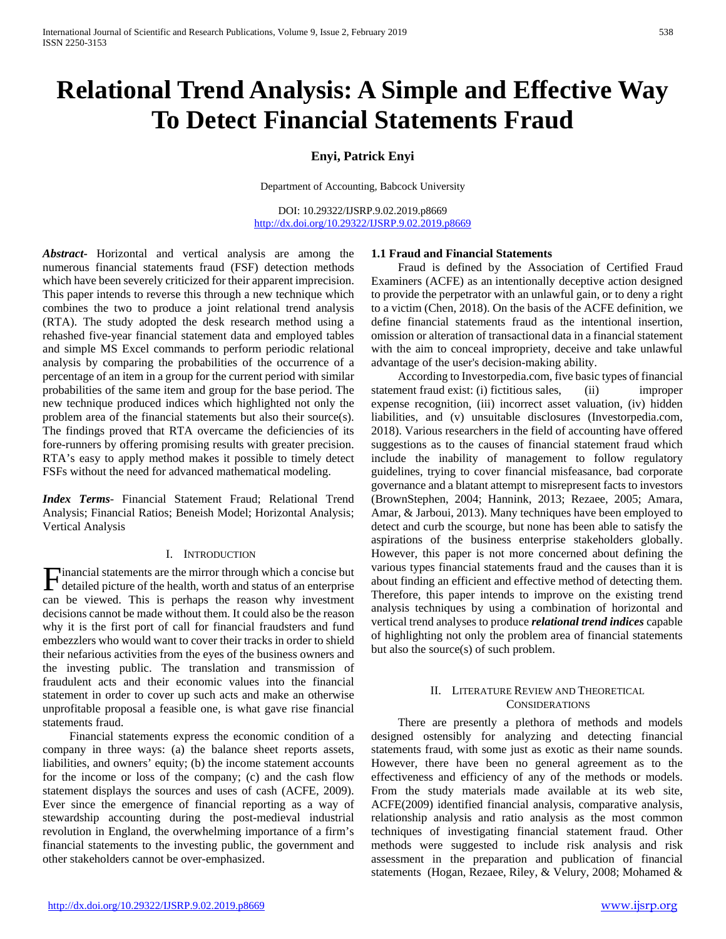# **Relational Trend Analysis: A Simple and Effective Way To Detect Financial Statements Fraud**

# **Enyi, Patrick Enyi**

Department of Accounting, Babcock University

DOI: 10.29322/IJSRP.9.02.2019.p8669 <http://dx.doi.org/10.29322/IJSRP.9.02.2019.p8669>

*Abstract***-** Horizontal and vertical analysis are among the numerous financial statements fraud (FSF) detection methods which have been severely criticized for their apparent imprecision. This paper intends to reverse this through a new technique which combines the two to produce a joint relational trend analysis (RTA). The study adopted the desk research method using a rehashed five-year financial statement data and employed tables and simple MS Excel commands to perform periodic relational analysis by comparing the probabilities of the occurrence of a percentage of an item in a group for the current period with similar probabilities of the same item and group for the base period. The new technique produced indices which highlighted not only the problem area of the financial statements but also their source(s). The findings proved that RTA overcame the deficiencies of its fore-runners by offering promising results with greater precision. RTA's easy to apply method makes it possible to timely detect FSFs without the need for advanced mathematical modeling.

*Index Terms*- Financial Statement Fraud; Relational Trend Analysis; Financial Ratios; Beneish Model; Horizontal Analysis; Vertical Analysis

#### I. INTRODUCTION

inancial statements are the mirror through which a concise but Financial statements are the mirror through which a concise but detailed picture of the health, worth and status of an enterprise can be viewed. This is perhaps the reason why investment decisions cannot be made without them. It could also be the reason why it is the first port of call for financial fraudsters and fund embezzlers who would want to cover their tracks in order to shield their nefarious activities from the eyes of the business owners and the investing public. The translation and transmission of fraudulent acts and their economic values into the financial statement in order to cover up such acts and make an otherwise unprofitable proposal a feasible one, is what gave rise financial statements fraud.

 Financial statements express the economic condition of a company in three ways: (a) the balance sheet reports assets, liabilities, and owners' equity; (b) the income statement accounts for the income or loss of the company; (c) and the cash flow statement displays the sources and uses of cash (ACFE, 2009). Ever since the emergence of financial reporting as a way of stewardship accounting during the post-medieval industrial revolution in England, the overwhelming importance of a firm's financial statements to the investing public, the government and other stakeholders cannot be over-emphasized.

#### **1.1 Fraud and Financial Statements**

 Fraud is defined by the Association of Certified Fraud Examiners (ACFE) as an intentionally deceptive action designed to provide the perpetrator with an unlawful gain, or to deny a right to a victim (Chen, 2018). On the basis of the ACFE definition, we define financial statements fraud as the intentional insertion, omission or alteration of transactional data in a financial statement with the aim to conceal impropriety, deceive and take unlawful advantage of the user's decision-making ability.

 According to Investorpedia.com, five basic types of financial statement fraud exist: (i) fictitious sales, (ii) improper expense recognition, (iii) incorrect asset valuation, (iv) hidden liabilities, and (v) unsuitable disclosures (Investorpedia.com, 2018). Various researchers in the field of accounting have offered suggestions as to the causes of financial statement fraud which include the inability of management to follow regulatory guidelines, trying to cover financial misfeasance, bad corporate governance and a blatant attempt to misrepresent facts to investors (BrownStephen, 2004; Hannink, 2013; Rezaee, 2005; Amara, Amar, & Jarboui, 2013). Many techniques have been employed to detect and curb the scourge, but none has been able to satisfy the aspirations of the business enterprise stakeholders globally. However, this paper is not more concerned about defining the various types financial statements fraud and the causes than it is about finding an efficient and effective method of detecting them. Therefore, this paper intends to improve on the existing trend analysis techniques by using a combination of horizontal and vertical trend analyses to produce *relational trend indices* capable of highlighting not only the problem area of financial statements but also the source(s) of such problem.

#### II. LITERATURE REVIEW AND THEORETICAL **CONSIDERATIONS**

 There are presently a plethora of methods and models designed ostensibly for analyzing and detecting financial statements fraud, with some just as exotic as their name sounds. However, there have been no general agreement as to the effectiveness and efficiency of any of the methods or models. From the study materials made available at its web site, ACFE(2009) identified financial analysis, comparative analysis, relationship analysis and ratio analysis as the most common techniques of investigating financial statement fraud. Other methods were suggested to include risk analysis and risk assessment in the preparation and publication of financial statements (Hogan, Rezaee, Riley, & Velury, 2008; Mohamed &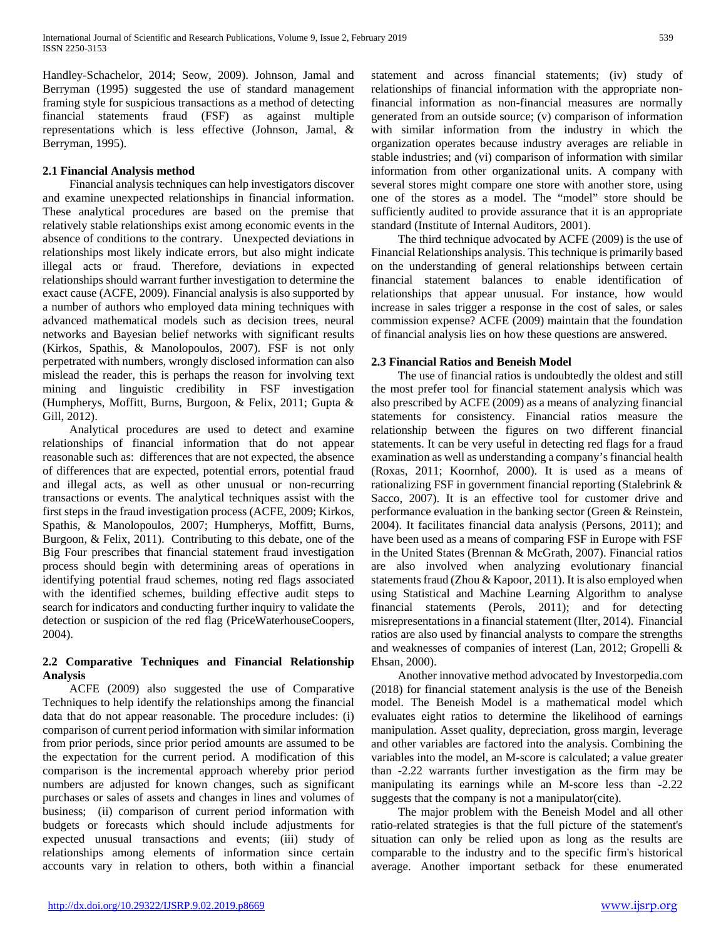Handley-Schachelor, 2014; Seow, 2009). Johnson, Jamal and Berryman (1995) suggested the use of standard management framing style for suspicious transactions as a method of detecting financial statements fraud (FSF) as against multiple representations which is less effective (Johnson, Jamal, & Berryman, 1995).

## **2.1 Financial Analysis method**

 Financial analysis techniques can help investigators discover and examine unexpected relationships in financial information. These analytical procedures are based on the premise that relatively stable relationships exist among economic events in the absence of conditions to the contrary. Unexpected deviations in relationships most likely indicate errors, but also might indicate illegal acts or fraud. Therefore, deviations in expected relationships should warrant further investigation to determine the exact cause (ACFE, 2009). Financial analysis is also supported by a number of authors who employed data mining techniques with advanced mathematical models such as decision trees, neural networks and Bayesian belief networks with significant results (Kirkos, Spathis, & Manolopoulos, 2007). FSF is not only perpetrated with numbers, wrongly disclosed information can also mislead the reader, this is perhaps the reason for involving text mining and linguistic credibility in FSF investigation (Humpherys, Moffitt, Burns, Burgoon, & Felix, 2011; Gupta & Gill, 2012).

 Analytical procedures are used to detect and examine relationships of financial information that do not appear reasonable such as: differences that are not expected, the absence of differences that are expected, potential errors, potential fraud and illegal acts, as well as other unusual or non-recurring transactions or events. The analytical techniques assist with the first steps in the fraud investigation process (ACFE, 2009; Kirkos, Spathis, & Manolopoulos, 2007; Humpherys, Moffitt, Burns, Burgoon, & Felix, 2011). Contributing to this debate, one of the Big Four prescribes that financial statement fraud investigation process should begin with determining areas of operations in identifying potential fraud schemes, noting red flags associated with the identified schemes, building effective audit steps to search for indicators and conducting further inquiry to validate the detection or suspicion of the red flag (PriceWaterhouseCoopers, 2004).

# **2.2 Comparative Techniques and Financial Relationship Analysis**

 ACFE (2009) also suggested the use of Comparative Techniques to help identify the relationships among the financial data that do not appear reasonable. The procedure includes: (i) comparison of current period information with similar information from prior periods, since prior period amounts are assumed to be the expectation for the current period. A modification of this comparison is the incremental approach whereby prior period numbers are adjusted for known changes, such as significant purchases or sales of assets and changes in lines and volumes of business; (ii) comparison of current period information with budgets or forecasts which should include adjustments for expected unusual transactions and events; (iii) study of relationships among elements of information since certain accounts vary in relation to others, both within a financial

statement and across financial statements; (iv) study of relationships of financial information with the appropriate nonfinancial information as non-financial measures are normally generated from an outside source; (v) comparison of information with similar information from the industry in which the organization operates because industry averages are reliable in stable industries; and (vi) comparison of information with similar information from other organizational units. A company with several stores might compare one store with another store, using one of the stores as a model. The "model" store should be sufficiently audited to provide assurance that it is an appropriate standard (Institute of Internal Auditors, 2001).

 The third technique advocated by ACFE (2009) is the use of Financial Relationships analysis. This technique is primarily based on the understanding of general relationships between certain financial statement balances to enable identification of relationships that appear unusual. For instance, how would increase in sales trigger a response in the cost of sales, or sales commission expense? ACFE (2009) maintain that the foundation of financial analysis lies on how these questions are answered.

### **2.3 Financial Ratios and Beneish Model**

 The use of financial ratios is undoubtedly the oldest and still the most prefer tool for financial statement analysis which was also prescribed by ACFE (2009) as a means of analyzing financial statements for consistency. Financial ratios measure the relationship between the figures on two different financial statements. It can be very useful in detecting red flags for a fraud examination as well as understanding a company's financial health (Roxas, 2011; Koornhof, 2000). It is used as a means of rationalizing FSF in government financial reporting (Stalebrink & Sacco, 2007). It is an effective tool for customer drive and performance evaluation in the banking sector (Green & Reinstein, 2004). It facilitates financial data analysis (Persons, 2011); and have been used as a means of comparing FSF in Europe with FSF in the United States (Brennan & McGrath, 2007). Financial ratios are also involved when analyzing evolutionary financial statements fraud (Zhou & Kapoor, 2011). It is also employed when using Statistical and Machine Learning Algorithm to analyse financial statements (Perols, 2011); and for detecting misrepresentations in a financial statement (Ilter, 2014). Financial ratios are also used by financial analysts to compare the strengths and weaknesses of companies of interest (Lan, 2012; Gropelli & Ehsan, 2000).

 Another innovative method advocated by Investorpedia.com (2018) for financial statement analysis is the use of the Beneish model. The Beneish Model is a mathematical model which evaluates eight ratios to determine the likelihood of earnings manipulation. Asset quality, depreciation, gross margin, leverage and other variables are factored into the analysis. Combining the variables into the model, an M-score is calculated; a value greater than -2.22 warrants further investigation as the firm may be manipulating its earnings while an M-score less than -2.22 suggests that the company is not a manipulator(cite).

 The major problem with the Beneish Model and all other ratio-related strategies is that the full picture of the statement's situation can only be relied upon as long as the results are comparable to the industry and to the specific firm's historical average. Another important setback for these enumerated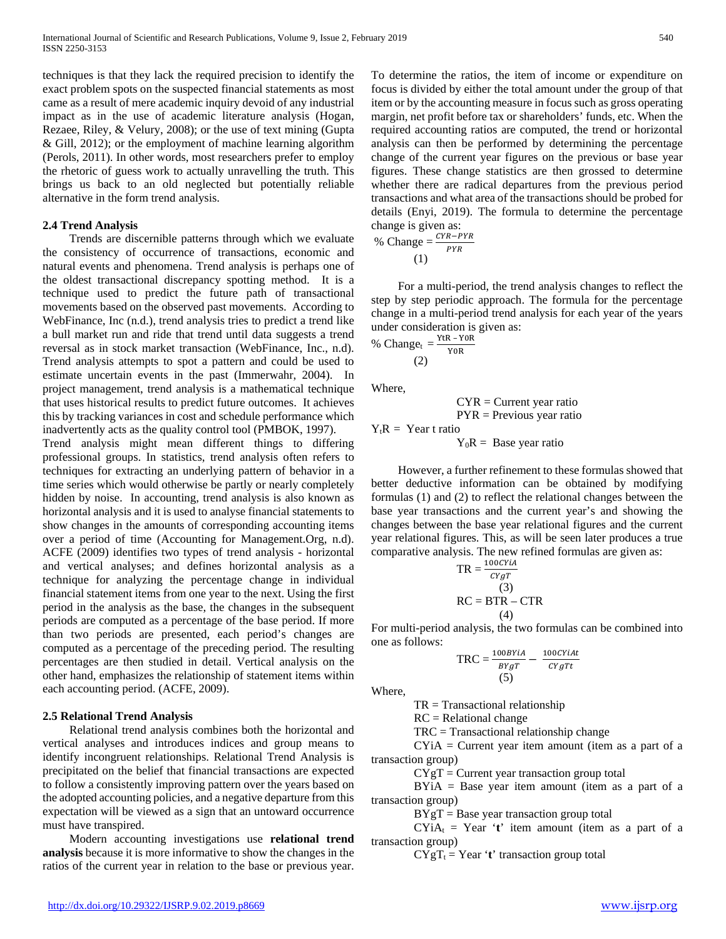techniques is that they lack the required precision to identify the exact problem spots on the suspected financial statements as most came as a result of mere academic inquiry devoid of any industrial impact as in the use of academic literature analysis (Hogan, Rezaee, Riley, & Velury, 2008); or the use of text mining (Gupta & Gill, 2012); or the employment of machine learning algorithm (Perols, 2011). In other words, most researchers prefer to employ the rhetoric of guess work to actually unravelling the truth. This brings us back to an old neglected but potentially reliable alternative in the form trend analysis.

#### **2.4 Trend Analysis**

 Trends are discernible patterns through which we evaluate the consistency of occurrence of transactions, economic and natural events and phenomena. Trend analysis is perhaps one of the oldest transactional discrepancy spotting method. It is a technique used to predict the future path of transactional movements based on the observed past movements. According to WebFinance, Inc (n.d.), trend analysis tries to predict a trend like a bull market run and ride that trend until data suggests a trend reversal as in stock market transaction (WebFinance, Inc., n.d). Trend analysis attempts to spot a pattern and could be used to estimate uncertain events in the past (Immerwahr, 2004). In project management, trend analysis is a mathematical technique that uses historical results to predict future outcomes. It achieves this by tracking variances in cost and schedule performance which inadvertently acts as the quality control tool (PMBOK, 1997).

Trend analysis might mean different things to differing professional groups. In statistics, trend analysis often refers to techniques for extracting an underlying pattern of behavior in a time series which would otherwise be partly or nearly completely hidden by noise. In accounting, trend analysis is also known as horizontal analysis and it is used to analyse financial statements to show changes in the amounts of corresponding accounting items over a period of time (Accounting for Management.Org, n.d). ACFE (2009) identifies two types of trend analysis - horizontal and vertical analyses; and defines horizontal analysis as a technique for analyzing the percentage change in individual financial statement items from one year to the next. Using the first period in the analysis as the base, the changes in the subsequent periods are computed as a percentage of the base period. If more than two periods are presented, each period's changes are computed as a percentage of the preceding period. The resulting percentages are then studied in detail. Vertical analysis on the other hand, emphasizes the relationship of statement items within each accounting period. (ACFE, 2009).

#### **2.5 Relational Trend Analysis**

 Relational trend analysis combines both the horizontal and vertical analyses and introduces indices and group means to identify incongruent relationships. Relational Trend Analysis is precipitated on the belief that financial transactions are expected to follow a consistently improving pattern over the years based on the adopted accounting policies, and a negative departure from this expectation will be viewed as a sign that an untoward occurrence must have transpired.

 Modern accounting investigations use **relational trend analysis** because it is more informative to show the changes in the ratios of the current year in relation to the base or previous year.

To determine the ratios, the item of income or expenditure on focus is divided by either the total amount under the group of that item or by the accounting measure in focus such as gross operating margin, net profit before tax or shareholders' funds, etc. When the required accounting ratios are computed, the trend or horizontal analysis can then be performed by determining the percentage change of the current year figures on the previous or base year figures. These change statistics are then grossed to determine whether there are radical departures from the previous period transactions and what area of the transactions should be probed for details (Enyi, 2019). The formula to determine the percentage change is given as:

$$
\% \text{ Change} = \frac{CYR - PYR}{PYR}
$$
  
(1)

 For a multi-period, the trend analysis changes to reflect the step by step periodic approach. The formula for the percentage change in a multi-period trend analysis for each year of the years under consideration is given as:

% Change<sub>t</sub> = 
$$
\frac{YtR - Y0R}{Y0R}
$$
  
(2)

Where,

$$
CYP = Current year ratioPYR = Previous year ratio
$$

 $Y_tR = Year$  t ratio

 $Y_0R =$  Base year ratio

 However, a further refinement to these formulas showed that better deductive information can be obtained by modifying formulas (1) and (2) to reflect the relational changes between the base year transactions and the current year's and showing the changes between the base year relational figures and the current year relational figures. This, as will be seen later produces a true comparative analysis. The new refined formulas are given as:

$$
TR = \frac{100CYIA}{CYgT}
$$
  
(3)  
RC = BTR - CTR  
(4)

For multi-period analysis, the two formulas can be combined into one as follows:

$$
TRC = \frac{100BYiA}{BYgT} - \frac{100CYiAt}{CYgTt}
$$
  
(5)

Where,

 $TR = Transactical relationship$ 

RC = Relational change

TRC = Transactional relationship change

 $CYiA = Current year$  item amount (item as a part of a transaction group)

 $CYgT = Current year transaction group total$ 

BYiA = Base year item amount (item as a part of a transaction group)

 $BYgT = Base year$  transaction group total

 $CYiA_t = Year 't'$  item amount (item as a part of a transaction group)

 $CYgT_t = Year 't'$  transaction group total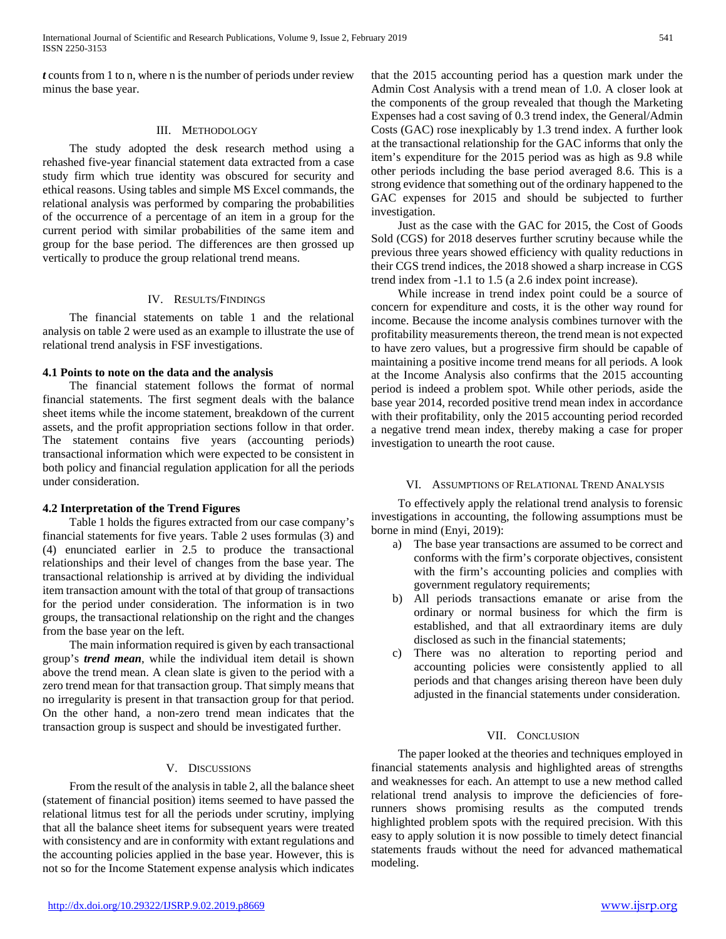*t* counts from 1 to n, where n is the number of periods under review minus the base year.

#### III. METHODOLOGY

 The study adopted the desk research method using a rehashed five-year financial statement data extracted from a case study firm which true identity was obscured for security and ethical reasons. Using tables and simple MS Excel commands, the relational analysis was performed by comparing the probabilities of the occurrence of a percentage of an item in a group for the current period with similar probabilities of the same item and group for the base period. The differences are then grossed up vertically to produce the group relational trend means.

#### IV. RESULTS/FINDINGS

 The financial statements on table 1 and the relational analysis on table 2 were used as an example to illustrate the use of relational trend analysis in FSF investigations.

#### **4.1 Points to note on the data and the analysis**

 The financial statement follows the format of normal financial statements. The first segment deals with the balance sheet items while the income statement, breakdown of the current assets, and the profit appropriation sections follow in that order. The statement contains five years (accounting periods) transactional information which were expected to be consistent in both policy and financial regulation application for all the periods under consideration.

#### **4.2 Interpretation of the Trend Figures**

 Table 1 holds the figures extracted from our case company's financial statements for five years. Table 2 uses formulas (3) and (4) enunciated earlier in 2.5 to produce the transactional relationships and their level of changes from the base year. The transactional relationship is arrived at by dividing the individual item transaction amount with the total of that group of transactions for the period under consideration. The information is in two groups, the transactional relationship on the right and the changes from the base year on the left.

 The main information required is given by each transactional group's *trend mean*, while the individual item detail is shown above the trend mean. A clean slate is given to the period with a zero trend mean for that transaction group. That simply means that no irregularity is present in that transaction group for that period. On the other hand, a non-zero trend mean indicates that the transaction group is suspect and should be investigated further.

#### V. DISCUSSIONS

 From the result of the analysis in table 2, all the balance sheet (statement of financial position) items seemed to have passed the relational litmus test for all the periods under scrutiny, implying that all the balance sheet items for subsequent years were treated with consistency and are in conformity with extant regulations and the accounting policies applied in the base year. However, this is not so for the Income Statement expense analysis which indicates

that the 2015 accounting period has a question mark under the Admin Cost Analysis with a trend mean of 1.0. A closer look at the components of the group revealed that though the Marketing Expenses had a cost saving of 0.3 trend index, the General/Admin Costs (GAC) rose inexplicably by 1.3 trend index. A further look at the transactional relationship for the GAC informs that only the item's expenditure for the 2015 period was as high as 9.8 while other periods including the base period averaged 8.6. This is a strong evidence that something out of the ordinary happened to the GAC expenses for 2015 and should be subjected to further investigation.

 Just as the case with the GAC for 2015, the Cost of Goods Sold (CGS) for 2018 deserves further scrutiny because while the previous three years showed efficiency with quality reductions in their CGS trend indices, the 2018 showed a sharp increase in CGS trend index from -1.1 to 1.5 (a 2.6 index point increase).

 While increase in trend index point could be a source of concern for expenditure and costs, it is the other way round for income. Because the income analysis combines turnover with the profitability measurements thereon, the trend mean is not expected to have zero values, but a progressive firm should be capable of maintaining a positive income trend means for all periods. A look at the Income Analysis also confirms that the 2015 accounting period is indeed a problem spot. While other periods, aside the base year 2014, recorded positive trend mean index in accordance with their profitability, only the 2015 accounting period recorded a negative trend mean index, thereby making a case for proper investigation to unearth the root cause.

#### VI. ASSUMPTIONS OF RELATIONAL TREND ANALYSIS

 To effectively apply the relational trend analysis to forensic investigations in accounting, the following assumptions must be borne in mind (Enyi, 2019):

- a) The base year transactions are assumed to be correct and conforms with the firm's corporate objectives, consistent with the firm's accounting policies and complies with government regulatory requirements;
- b) All periods transactions emanate or arise from the ordinary or normal business for which the firm is established, and that all extraordinary items are duly disclosed as such in the financial statements;
- c) There was no alteration to reporting period and accounting policies were consistently applied to all periods and that changes arising thereon have been duly adjusted in the financial statements under consideration.

#### VII. CONCLUSION

 The paper looked at the theories and techniques employed in financial statements analysis and highlighted areas of strengths and weaknesses for each. An attempt to use a new method called relational trend analysis to improve the deficiencies of forerunners shows promising results as the computed trends highlighted problem spots with the required precision. With this easy to apply solution it is now possible to timely detect financial statements frauds without the need for advanced mathematical modeling.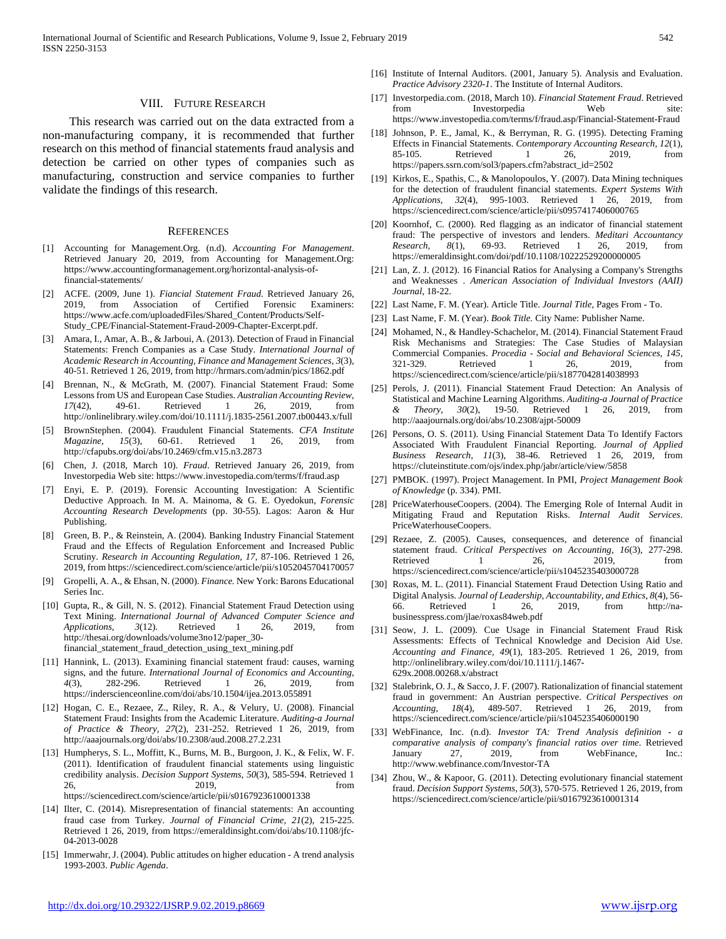#### VIII. FUTURE RESEARCH

 This research was carried out on the data extracted from a non-manufacturing company, it is recommended that further research on this method of financial statements fraud analysis and detection be carried on other types of companies such as manufacturing, construction and service companies to further validate the findings of this research.

#### **REFERENCES**

- [1] Accounting for Management.Org. (n.d). *Accounting For Management*. Retrieved January 20, 2019, from Accounting for Management.Org: https://www.accountingformanagement.org/horizontal-analysis-offinancial-statements/
- [2] ACFE. (2009, June 1). *Fiancial Statement Fraud*. Retrieved January 26, 2019, from Association of Certified Forensic Examiners: https://www.acfe.com/uploadedFiles/Shared\_Content/Products/Self-Study\_CPE/Financial-Statement-Fraud-2009-Chapter-Excerpt.pdf.
- [3] Amara, I., Amar, A. B., & Jarboui, A. (2013). Detection of Fraud in Financial Statements: French Companies as a Case Study. *International Journal of Academic Research in Accounting, Finance and Management Sciences, 3*(3), 40-51. Retrieved 1 26, 2019, from http://hrmars.com/admin/pics/1862.pdf
- [4] Brennan, N., & McGrath, M. (2007). Financial Statement Fraud: Some Lessons from US and European Case Studies. *Australian Accounting Review, 17*(42), 49-61. Retrieved 1 26, 2019, from http://onlinelibrary.wiley.com/doi/10.1111/j.1835-2561.2007.tb00443.x/full
- [5] BrownStephen. (2004). Fraudulent Financial Statements. *CFA Institute Magazine, 15*(3), 60-61. Retrieved 1 26, 2019, from http://cfapubs.org/doi/abs/10.2469/cfm.v15.n3.2873
- [6] Chen, J. (2018, March 10). *Fraud*. Retrieved January 26, 2019, from Investorpedia Web site: https://www.investopedia.com/terms/f/fraud.asp
- [7] Enyi, E. P. (2019). Forensic Accounting Investigation: A Scientific Deductive Approach. In M. A. Mainoma, & G. E. Oyedokun, *Forensic Accounting Research Developments* (pp. 30-55). Lagos: Aaron & Hur Publishing.
- [8] Green, B. P., & Reinstein, A. (2004). Banking Industry Financial Statement Fraud and the Effects of Regulation Enforcement and Increased Public Scrutiny. *Research in Accounting Regulation, 17*, 87-106. Retrieved 1 26, 2019, from https://sciencedirect.com/science/article/pii/s1052045704170057
- [9] Gropelli, A. A., & Ehsan, N. (2000). *Finance.* New York: Barons Educational Series Inc.
- [10] Gupta, R., & Gill, N. S. (2012). Financial Statement Fraud Detection using Text Mining. *International Journal of Advanced Computer Science and Applications, 3*(12). Retrieved 1 26, 2019, from http://thesai.org/downloads/volume3no12/paper\_30 financial statement fraud detection using text mining.pdf
- [11] Hannink, L. (2013). Examining financial statement fraud: causes, warning signs, and the future. *International Journal of Economics and Accounting, 4*(3), 282-296. Retrieved 1 26, 2019, from https://inderscienceonline.com/doi/abs/10.1504/ijea.2013.055891
- [12] Hogan, C. E., Rezaee, Z., Riley, R. A., & Velury, U. (2008). Financial Statement Fraud: Insights from the Academic Literature. *Auditing-a Journal of Practice & Theory, 27*(2), 231-252. Retrieved 1 26, 2019, from http://aaajournals.org/doi/abs/10.2308/aud.2008.27.2.231
- [13] Humpherys, S. L., Moffitt, K., Burns, M. B., Burgoon, J. K., & Felix, W. F. (2011). Identification of fraudulent financial statements using linguistic credibility analysis. *Decision Support Systems, 50*(3), 585-594. Retrieved 1 26, 2019, from https://sciencedirect.com/science/article/pii/s0167923610001338
- [14] Ilter, C. (2014). Misrepresentation of financial statements: An accounting fraud case from Turkey. *Journal of Financial Crime, 21*(2), 215-225. Retrieved 1 26, 2019, from https://emeraldinsight.com/doi/abs/10.1108/jfc-04-2013-0028
- [15] Immerwahr, J. (2004). Public attitudes on higher education A trend analysis 1993-2003. *Public Agenda*.
- [16] Institute of Internal Auditors. (2001, January 5). Analysis and Evaluation. *Practice Advisory 2320-1*. The Institute of Internal Auditors.
- [17] Investorpedia.com. (2018, March 10). *Financial Statement Fraud*. Retrieved from Investorpedia Web site: https://www.investopedia.com/terms/f/fraud.asp/Financial-Statement-Fraud
- [18] Johnson, P. E., Jamal, K., & Berryman, R. G. (1995). Detecting Framing Effects in Financial Statements. *Contemporary Accounting Research, 12*(1), 85-105. Retrieved 1 26, 2019, from https://papers.ssrn.com/sol3/papers.cfm?abstract\_id=2502
- [19] Kirkos, E., Spathis, C., & Manolopoulos, Y. (2007). Data Mining techniques for the detection of fraudulent financial statements. *Expert Systems With Applications, 32*(4), 995-1003. Retrieved 1 26, 2019, from https://sciencedirect.com/science/article/pii/s0957417406000765
- [20] Koornhof, C. (2000). Red flagging as an indicator of financial statement fraud: The perspective of investors and lenders. *Meditari Accountancy Research, 8*(1), 69-93. Retrieved 1 26, 2019, from https://emeraldinsight.com/doi/pdf/10.1108/10222529200000005
- [21] Lan, Z. J. (2012). 16 Financial Ratios for Analysing a Company's Strengths and Weaknesses . *American Association of Individual Investors (AAII) Journal*, 18-22.
- [22] Last Name, F. M. (Year). Article Title. *Journal Title*, Pages From To.
- [23] Last Name, F. M. (Year). *Book Title.* City Name: Publisher Name.
- [24] Mohamed, N., & Handley-Schachelor, M. (2014). Financial Statement Fraud Risk Mechanisms and Strategies: The Case Studies of Malaysian Commercial Companies. *Procedia - Social and Behavioral Sciences, 145*, 321-329. Retrieved 1 26, 2019, from https://sciencedirect.com/science/article/pii/s1877042814038993
- [25] Perols, J. (2011). Financial Statement Fraud Detection: An Analysis of Statistical and Machine Learning Algorithms. *Auditing-a Journal of Practice & Theory, 30*(2), 19-50. Retrieved 1 26, 2019, from http://aaajournals.org/doi/abs/10.2308/ajpt-50009
- [26] Persons, O. S. (2011). Using Financial Statement Data To Identify Factors Associated With Fraudulent Financial Reporting. *Journal of Applied Business Research, 11*(3), 38-46. Retrieved 1 26, 2019, from https://cluteinstitute.com/ojs/index.php/jabr/article/view/5858
- [27] PMBOK. (1997). Project Management. In PMI, *Project Management Book of Knowledge* (p. 334). PMI.
- [28] PriceWaterhouseCoopers. (2004). The Emerging Role of Internal Audit in Mitigating Fraud and Reputation Risks. *Internal Audit Services*. PriceWaterhouseCoopers.
- [29] Rezaee, Z. (2005). Causes, consequences, and deterence of financial statement fraud. *Critical Perspectives on Accounting, 16*(3), 277-298. Retrieved 1 26, 2019, from https://sciencedirect.com/science/article/pii/s1045235403000728
- [30] Roxas, M. L. (2011). Financial Statement Fraud Detection Using Ratio and Digital Analysis. *Journal of Leadership, Accountability, and Ethics, 8*(4), 56- 66. Retrieved 1 26, 2019, from http://nabusinesspress.com/jlae/roxas84web.pdf
- [31] Seow, J. L. (2009). Cue Usage in Financial Statement Fraud Risk Assessments: Effects of Technical Knowledge and Decision Aid Use. *Accounting and Finance, 49*(1), 183-205. Retrieved 1 26, 2019, from http://onlinelibrary.wiley.com/doi/10.1111/j.1467- 629x.2008.00268.x/abstract
- [32] Stalebrink, O. J., & Sacco, J. F. (2007). Rationalization of financial statement fraud in government: An Austrian perspective. *Critical Perspectives on Accounting, 18*(4), 489-507. Retrieved 1 26, 2019, from https://sciencedirect.com/science/article/pii/s1045235406000190
- [33] WebFinance, Inc. (n.d). *Investor TA: Trend Analysis definition - a comparative analysis of company's financial ratios over time*. Retrieved January 27, 2019, from WebFinance, Inc.: http://www.webfinance.com/Investor-TA
- [34] Zhou, W., & Kapoor, G. (2011). Detecting evolutionary financial statement fraud. *Decision Support Systems, 50*(3), 570-575. Retrieved 1 26, 2019, from https://sciencedirect.com/science/article/pii/s0167923610001314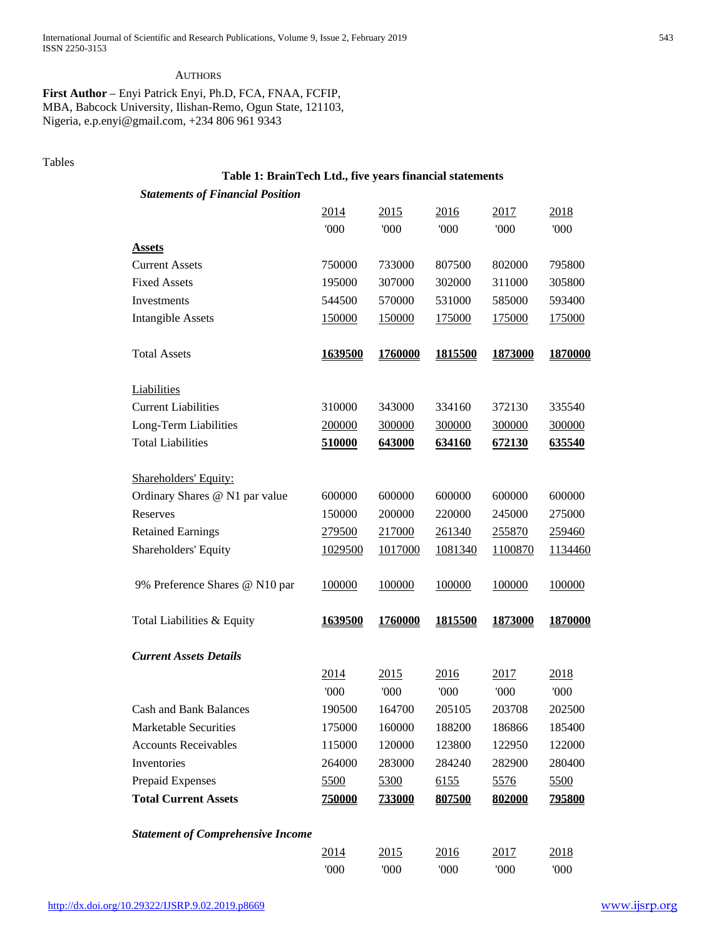#### **AUTHORS**

**First Author** – Enyi Patrick Enyi, Ph.D, FCA, FNAA, FCFIP, MBA, Babcock University, Ilishan-Remo, Ogun State, 121103, Nigeria, e.p.enyi@gmail.com, +234 806 961 9343

### Tables

# **Table 1: BrainTech Ltd., five years financial statements**

| <b>Statements of Financial Position</b>  |                |               |               |                |               |
|------------------------------------------|----------------|---------------|---------------|----------------|---------------|
|                                          | <u>2014</u>    | <u>2015</u>   | 2016          | 2017           | 2018          |
|                                          | '000           | '000          | '000          | 000            | '000'         |
| <b>Assets</b>                            |                |               |               |                |               |
| <b>Current Assets</b>                    | 750000         | 733000        | 807500        | 802000         | 795800        |
| <b>Fixed Assets</b>                      | 195000         | 307000        | 302000        | 311000         | 305800        |
| Investments                              | 544500         | 570000        | 531000        | 585000         | 593400        |
| <b>Intangible Assets</b>                 | 150000         | 150000        | <u>175000</u> | 175000         | 175000        |
| <b>Total Assets</b>                      | <u>1639500</u> | 1760000       | 1815500       | 1873000        | 1870000       |
| Liabilities                              |                |               |               |                |               |
| <b>Current Liabilities</b>               | 310000         | 343000        | 334160        | 372130         | 335540        |
| Long-Term Liabilities                    | 200000         | 300000        | 300000        | 300000         | 300000        |
| <b>Total Liabilities</b>                 | 510000         | 643000        | 634160        | 672130         | 635540        |
| Shareholders' Equity:                    |                |               |               |                |               |
| Ordinary Shares @ N1 par value           | 600000         | 600000        | 600000        | 600000         | 600000        |
| Reserves                                 | 150000         | 200000        | 220000        | 245000         | 275000        |
| <b>Retained Earnings</b>                 | 279500         | 217000        | 261340        | 255870         | 259460        |
| Shareholders' Equity                     | 1029500        | 1017000       | 1081340       | 1100870        | 1134460       |
| 9% Preference Shares @ N10 par           | 100000         | 100000        | 100000        | 100000         | 100000        |
| Total Liabilities & Equity               | 1639500        | 1760000       | 1815500       | <u>1873000</u> | 1870000       |
| <b>Current Assets Details</b>            |                |               |               |                |               |
|                                          | <u>2014</u>    | <u>2015</u>   | 2016          | 2017           | 2018          |
|                                          | '000           | '000          | '000          | '000           | '000          |
| <b>Cash and Bank Balances</b>            | 190500         | 164700        | 205105        | 203708         | 202500        |
| Marketable Securities                    | 175000         | 160000        | 188200        | 186866         | 185400        |
| <b>Accounts Receivables</b>              | 115000         | 120000        | 123800        | 122950         | 122000        |
| Inventories                              | 264000         | 283000        | 284240        | 282900         | 280400        |
| Prepaid Expenses                         | 5500           | 5300          | 6155          | 5576           | 5500          |
| <b>Total Current Assets</b>              | 750000         | <b>733000</b> | 807500        | 802000         | <u>795800</u> |
| <b>Statement of Comprehensive Income</b> |                |               |               |                |               |
|                                          | 2014           | 2015          | 2016          | 2017           | 2018          |
|                                          | 000            | 000           | 000'          | 000'           | 000           |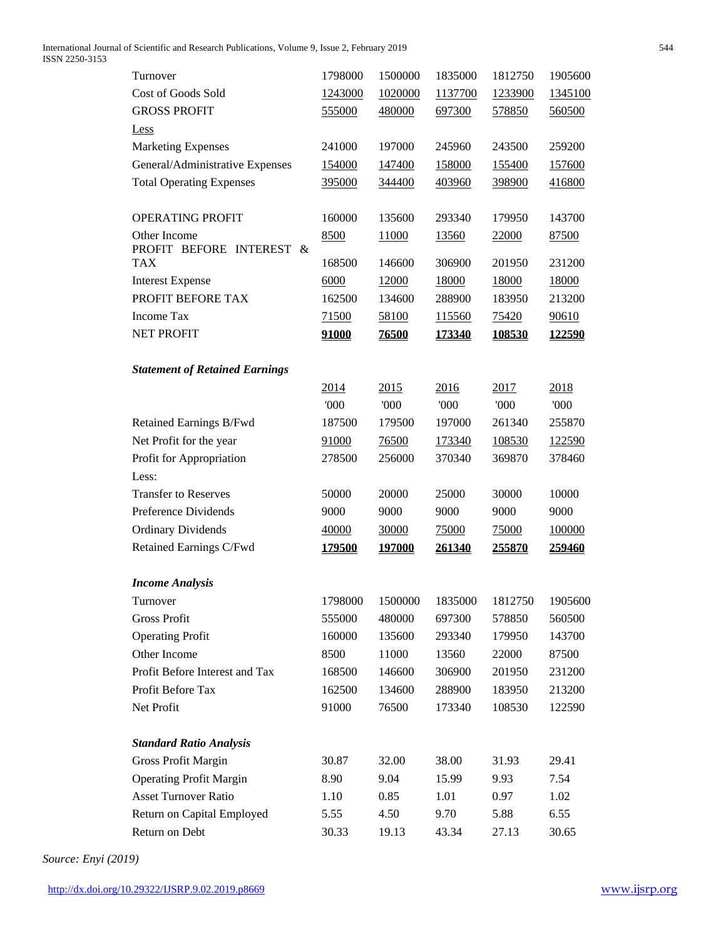International Journal of Scientific and Research Publications, Volume 9, Issue 2, February 2019 544 ISSN 2250-3153

| Turnover                              | 1798000       | 1500000       | 1835000     | 1812750       | 1905600      |
|---------------------------------------|---------------|---------------|-------------|---------------|--------------|
| <b>Cost of Goods Sold</b>             | 1243000       | 1020000       | 1137700     | 1233900       | 1345100      |
| <b>GROSS PROFIT</b>                   | 555000        | 480000        | 697300      | 578850        | 560500       |
| <b>Less</b>                           |               |               |             |               |              |
| <b>Marketing Expenses</b>             | 241000        | 197000        | 245960      | 243500        | 259200       |
| General/Administrative Expenses       | 154000        | 147400        | 158000      | 155400        | 157600       |
| <b>Total Operating Expenses</b>       | 395000        | 344400        | 403960      | 398900        | 416800       |
|                                       |               |               |             |               |              |
| OPERATING PROFIT                      | 160000        | 135600        | 293340      | 179950        | 143700       |
| Other Income                          | 8500          | 11000         | 13560       | 22000         | 87500        |
| PROFIT BEFORE INTEREST &              |               |               |             |               |              |
| <b>TAX</b>                            | 168500        | 146600        | 306900      | 201950        | 231200       |
| <b>Interest Expense</b>               | 6000          | 12000         | 18000       | 18000         | 18000        |
| PROFIT BEFORE TAX                     | 162500        | 134600        | 288900      | 183950        | 213200       |
| Income Tax<br><b>NET PROFIT</b>       | 71500         | 58100         | 115560      | 75420         | 90610        |
|                                       | 91000         | 76500         | 173340      | <u>108530</u> | 122590       |
|                                       |               |               |             |               |              |
| <b>Statement of Retained Earnings</b> |               |               |             |               |              |
|                                       | 2014<br>000   | 2015<br>000   | 2016<br>000 | 2017<br>'000  | 2018<br>'000 |
|                                       |               |               | 197000      | 261340        |              |
| Retained Earnings B/Fwd               | 187500        | 179500        |             |               | 255870       |
| Net Profit for the year               | 91000         | 76500         | 173340      | 108530        | 122590       |
| Profit for Appropriation<br>Less:     | 278500        | 256000        | 370340      | 369870        | 378460       |
| <b>Transfer to Reserves</b>           |               | 20000         | 25000       | 30000         | 10000        |
| Preference Dividends                  | 50000         |               |             |               |              |
|                                       | 9000          | 9000          | 9000        | 9000          | 9000         |
| <b>Ordinary Dividends</b>             | 40000         | 30000         | 75000       | 75000         | 100000       |
| Retained Earnings C/Fwd               | <u>179500</u> | <u>197000</u> | 261340      | 255870        | 259460       |
| <b>Income Analysis</b>                |               |               |             |               |              |
| Turnover                              | 1798000       | 1500000       | 1835000     | 1812750       | 1905600      |
| <b>Gross Profit</b>                   | 555000        | 480000        | 697300      | 578850        | 560500       |
| <b>Operating Profit</b>               | 160000        | 135600        | 293340      | 179950        | 143700       |
| Other Income                          | 8500          | 11000         | 13560       | 22000         | 87500        |
| Profit Before Interest and Tax        | 168500        | 146600        | 306900      | 201950        | 231200       |
| Profit Before Tax                     | 162500        | 134600        | 288900      | 183950        | 213200       |
| Net Profit                            | 91000         | 76500         | 173340      | 108530        | 122590       |
|                                       |               |               |             |               |              |
| <b>Standard Ratio Analysis</b>        |               |               |             |               |              |
| <b>Gross Profit Margin</b>            | 30.87         | 32.00         | 38.00       | 31.93         | 29.41        |
| <b>Operating Profit Margin</b>        | 8.90          | 9.04          | 15.99       | 9.93          | 7.54         |
| <b>Asset Turnover Ratio</b>           | 1.10          | 0.85          | 1.01        | 0.97          | 1.02         |
| Return on Capital Employed            | 5.55          | 4.50          | 9.70        | 5.88          | 6.55         |
| Return on Debt                        | 30.33         | 19.13         | 43.34       | 27.13         | 30.65        |

*Source: Enyi (2019)*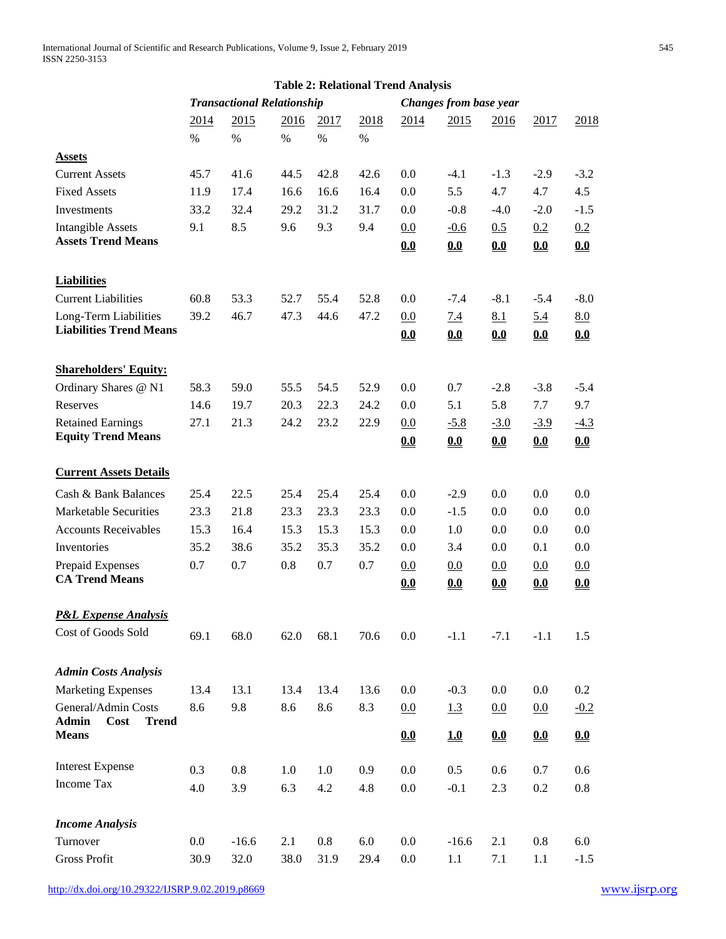|                                                             |                                   | <b>Table 2: Relational Trend Analysis</b> |      |      |                               |            |               |                            |               |               |  |
|-------------------------------------------------------------|-----------------------------------|-------------------------------------------|------|------|-------------------------------|------------|---------------|----------------------------|---------------|---------------|--|
|                                                             | <b>Transactional Relationship</b> |                                           |      |      | <b>Changes from base year</b> |            |               |                            |               |               |  |
|                                                             | 2014                              | 2015                                      | 2016 | 2017 | 2018                          | 2014       | 2015          | 2016                       | 2017          | 2018          |  |
|                                                             | $\%$                              | $\%$                                      | $\%$ | $\%$ | %                             |            |               |                            |               |               |  |
| <b>Assets</b>                                               |                                   |                                           |      |      |                               |            |               |                            |               |               |  |
| <b>Current Assets</b>                                       | 45.7                              | 41.6                                      | 44.5 | 42.8 | 42.6                          | 0.0        | $-4.1$        | $-1.3$                     | $-2.9$        | $-3.2$        |  |
| <b>Fixed Assets</b>                                         | 11.9                              | 17.4                                      | 16.6 | 16.6 | 16.4                          | 0.0        | 5.5           | 4.7                        | 4.7           | 4.5           |  |
| Investments                                                 | 33.2                              | 32.4                                      | 29.2 | 31.2 | 31.7                          | 0.0        | $-0.8$        | $-4.0$                     | $-2.0$        | $-1.5$        |  |
| <b>Intangible Assets</b>                                    | 9.1                               | 8.5                                       | 9.6  | 9.3  | 9.4                           | 0.0        | $-0.6$        | 0.5                        | 0.2           | 0.2           |  |
| <b>Assets Trend Means</b>                                   |                                   |                                           |      |      |                               | 0.0        | 0.0           | 0.0                        | 0.0           | 0.0           |  |
| <b>Liabilities</b>                                          |                                   |                                           |      |      |                               |            |               |                            |               |               |  |
| <b>Current Liabilities</b>                                  | 60.8                              | 53.3                                      | 52.7 | 55.4 | 52.8                          | 0.0        | $-7.4$        | $-8.1$                     | $-5.4$        | $-8.0$        |  |
| Long-Term Liabilities                                       | 39.2                              | 46.7                                      | 47.3 | 44.6 | 47.2                          | 0.0        | <u>7.4</u>    | 8.1                        | 5.4           | 8.0           |  |
| <b>Liabilities Trend Means</b>                              |                                   |                                           |      |      |                               | 0.0        | 0.0           | 0.0                        | 0.0           | 0.0           |  |
|                                                             |                                   |                                           |      |      |                               |            |               |                            |               |               |  |
| <b>Shareholders' Equity:</b><br>Ordinary Shares @ N1        | 58.3                              | 59.0                                      | 55.5 | 54.5 | 52.9                          | 0.0        | 0.7           | $-2.8$                     | $-3.8$        | $-5.4$        |  |
| Reserves                                                    | 14.6                              | 19.7                                      | 20.3 | 22.3 | 24.2                          | 0.0        | 5.1           | 5.8                        | 7.7           | 9.7           |  |
|                                                             | 27.1                              | 21.3                                      | 24.2 | 23.2 |                               |            |               |                            |               |               |  |
| <b>Retained Earnings</b><br><b>Equity Trend Means</b>       |                                   |                                           |      |      | 22.9                          | 0.0<br>0.0 | $-5.8$<br>0.0 | $-3.0$<br>0.0              | $-3.9$<br>0.0 | $-4.3$<br>0.0 |  |
| <b>Current Assets Details</b>                               |                                   |                                           |      |      |                               |            |               |                            |               |               |  |
|                                                             |                                   |                                           |      |      |                               |            |               |                            |               |               |  |
| Cash & Bank Balances                                        | 25.4                              | 22.5                                      | 25.4 | 25.4 | 25.4                          | 0.0        | $-2.9$        | 0.0                        | 0.0           | 0.0           |  |
| <b>Marketable Securities</b>                                | 23.3                              | 21.8                                      | 23.3 | 23.3 | 23.3                          | 0.0        | $-1.5$        | 0.0                        | 0.0           | 0.0           |  |
| <b>Accounts Receivables</b>                                 | 15.3                              | 16.4                                      | 15.3 | 15.3 | 15.3                          | 0.0        | 1.0           | 0.0                        | 0.0           | 0.0           |  |
| Inventories                                                 | 35.2                              | 38.6                                      | 35.2 | 35.3 | 35.2                          | 0.0        | 3.4           | 0.0                        | 0.1           | 0.0           |  |
| Prepaid Expenses<br><b>CA Trend Means</b>                   | 0.7                               | 0.7                                       | 0.8  | 0.7  | 0.7                           | 0.0        | 0.0           | 0.0                        | 0.0           | 0.0           |  |
|                                                             |                                   |                                           |      |      |                               | 0.0        | 0.0           | 0.0                        | 0.0           | 0.0           |  |
| <b>P&amp;L Expense Analysis</b>                             |                                   |                                           |      |      |                               |            |               |                            |               |               |  |
| Cost of Goods Sold                                          | 69.1                              | 68.0                                      | 62.0 | 68.1 | 70.6                          | 0.0        | $-1.1$        | $-7.1$                     | $-1.1$        | 1.5           |  |
| <b>Admin Costs Analysis</b>                                 |                                   |                                           |      |      |                               |            |               |                            |               |               |  |
| <b>Marketing Expenses</b>                                   | 13.4                              | 13.1                                      | 13.4 | 13.4 | 13.6                          | 0.0        | $-0.3$        | 0.0                        | 0.0           | 0.2           |  |
| General/Admin Costs                                         | 8.6                               | 9.8                                       | 8.6  | 8.6  | 8.3                           | 0.0        | 1.3           | 0.0                        | 0.0           | $-0.2$        |  |
| <b>Admin</b><br><b>Cost</b><br><b>Trend</b><br><b>Means</b> |                                   |                                           |      |      |                               | 0.0        | 10            | $\underline{\mathbf{0.0}}$ | 0.0           | 0.0           |  |
|                                                             |                                   |                                           |      |      |                               |            |               |                            |               |               |  |
| <b>Interest Expense</b>                                     | 0.3                               | 0.8                                       | 1.0  | 1.0  | 0.9                           | 0.0        | 0.5           | 0.6                        | 0.7           | 0.6           |  |
| Income Tax                                                  | 4.0                               | 3.9                                       | 6.3  | 4.2  | 4.8                           | $0.0\,$    | $-0.1$        | 2.3                        | $0.2\,$       | $0.8\,$       |  |
| <b>Income Analysis</b>                                      |                                   |                                           |      |      |                               |            |               |                            |               |               |  |
| Turnover                                                    | 0.0                               | $-16.6$                                   | 2.1  | 0.8  | 6.0                           | 0.0        | $-16.6$       | 2.1                        | 0.8           | 6.0           |  |
| Gross Profit                                                | 30.9                              | 32.0                                      | 38.0 | 31.9 | 29.4                          | $0.0\,$    | 1.1           | 7.1                        | 1.1           | $-1.5$        |  |
|                                                             |                                   |                                           |      |      |                               |            |               |                            |               |               |  |